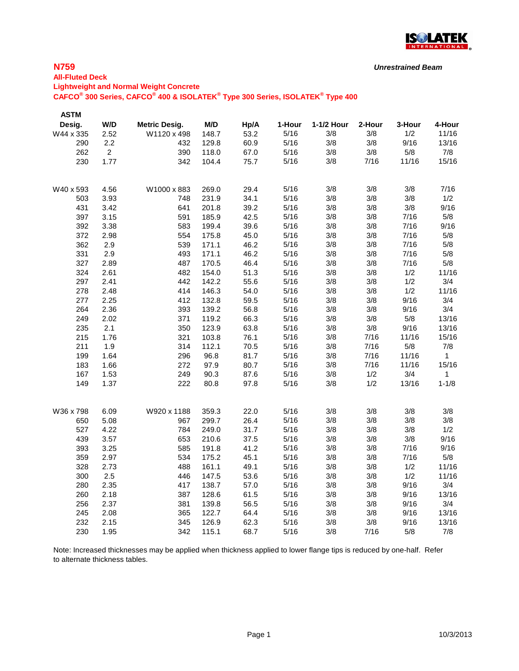

### **N759**

### **All-Fluted Deck Lightweight and Normal Weight Concrete CAFCO® 300 Series, CAFCO® 400 & ISOLATEK® Type 300 Series, ISOLATEK® Type 400**

| <b>ASTM</b> |                |                      |       |      |        |            |        |        |              |
|-------------|----------------|----------------------|-------|------|--------|------------|--------|--------|--------------|
| Desig.      | W/D            | <b>Metric Desig.</b> | M/D   | Hp/A | 1-Hour | 1-1/2 Hour | 2-Hour | 3-Hour | 4-Hour       |
| W44 x 335   | 2.52           | W1120 x 498          | 148.7 | 53.2 | 5/16   | 3/8        | 3/8    | 1/2    | 11/16        |
| 290         | 2.2            | 432                  | 129.8 | 60.9 | 5/16   | 3/8        | 3/8    | 9/16   | 13/16        |
| 262         | $\overline{2}$ | 390                  | 118.0 | 67.0 | 5/16   | 3/8        | 3/8    | 5/8    | 7/8          |
| 230         | 1.77           | 342                  | 104.4 | 75.7 | 5/16   | 3/8        | 7/16   | 11/16  | 15/16        |
|             |                |                      |       |      |        |            |        |        |              |
| W40 x 593   | 4.56           | W1000 x 883          | 269.0 | 29.4 | 5/16   | 3/8        | 3/8    | 3/8    | 7/16         |
| 503         | 3.93           | 748                  | 231.9 | 34.1 | 5/16   | 3/8        | 3/8    | 3/8    | 1/2          |
| 431         | 3.42           | 641                  | 201.8 | 39.2 | 5/16   | 3/8        | 3/8    | 3/8    | 9/16         |
| 397         | 3.15           | 591                  | 185.9 | 42.5 | 5/16   | 3/8        | 3/8    | 7/16   | 5/8          |
| 392         | 3.38           | 583                  | 199.4 | 39.6 | 5/16   | 3/8        | 3/8    | 7/16   | 9/16         |
| 372         | 2.98           | 554                  | 175.8 | 45.0 | 5/16   | 3/8        | 3/8    | 7/16   | 5/8          |
| 362         | 2.9            | 539                  | 171.1 | 46.2 | 5/16   | 3/8        | 3/8    | 7/16   | 5/8          |
| 331         | 2.9            | 493                  | 171.1 | 46.2 | 5/16   | 3/8        | 3/8    | 7/16   | 5/8          |
| 327         | 2.89           | 487                  | 170.5 | 46.4 | 5/16   | 3/8        | 3/8    | 7/16   | 5/8          |
| 324         | 2.61           | 482                  | 154.0 | 51.3 | 5/16   | 3/8        | 3/8    | 1/2    | 11/16        |
| 297         | 2.41           | 442                  | 142.2 | 55.6 | 5/16   | 3/8        | 3/8    | 1/2    | 3/4          |
| 278         | 2.48           | 414                  | 146.3 | 54.0 | 5/16   | 3/8        | 3/8    | 1/2    | 11/16        |
| 277         | 2.25           | 412                  | 132.8 | 59.5 | 5/16   | 3/8        | 3/8    | 9/16   | 3/4          |
| 264         | 2.36           | 393                  | 139.2 | 56.8 | $5/16$ | 3/8        | 3/8    | 9/16   | 3/4          |
| 249         | 2.02           | 371                  | 119.2 | 66.3 | 5/16   | 3/8        | 3/8    | 5/8    | 13/16        |
| 235         | 2.1            | 350                  | 123.9 | 63.8 | 5/16   | 3/8        | 3/8    | 9/16   | 13/16        |
| 215         | 1.76           | 321                  | 103.8 | 76.1 | 5/16   | 3/8        | 7/16   | 11/16  | 15/16        |
| 211         | 1.9            | 314                  | 112.1 | 70.5 | 5/16   | 3/8        | 7/16   | 5/8    | 7/8          |
| 199         | 1.64           | 296                  | 96.8  | 81.7 | 5/16   | 3/8        | 7/16   | 11/16  | $\mathbf{1}$ |
| 183         | 1.66           | 272                  | 97.9  | 80.7 | 5/16   | 3/8        | 7/16   | 11/16  | 15/16        |
| 167         | 1.53           | 249                  | 90.3  | 87.6 | 5/16   | 3/8        | 1/2    | 3/4    | $\mathbf{1}$ |
| 149         | 1.37           | 222                  | 80.8  | 97.8 | 5/16   | 3/8        | 1/2    | 13/16  | $1 - 1/8$    |
| W36 x 798   | 6.09           | W920 x 1188          | 359.3 | 22.0 | 5/16   | 3/8        | 3/8    | 3/8    | 3/8          |
| 650         | 5.08           | 967                  | 299.7 | 26.4 | 5/16   | 3/8        | 3/8    | 3/8    | 3/8          |
| 527         | 4.22           | 784                  | 249.0 | 31.7 | 5/16   | 3/8        | 3/8    | 3/8    | 1/2          |
| 439         | 3.57           | 653                  | 210.6 | 37.5 | 5/16   | 3/8        | 3/8    | 3/8    | 9/16         |
| 393         | 3.25           | 585                  | 191.8 | 41.2 | 5/16   | 3/8        | 3/8    | 7/16   | 9/16         |
| 359         | 2.97           | 534                  | 175.2 | 45.1 | 5/16   | 3/8        | 3/8    | 7/16   | 5/8          |
| 328         | 2.73           | 488                  | 161.1 | 49.1 | 5/16   | 3/8        | 3/8    | 1/2    | 11/16        |
| 300         | 2.5            | 446                  | 147.5 | 53.6 | 5/16   | 3/8        | 3/8    | 1/2    | 11/16        |
| 280         | 2.35           | 417                  | 138.7 | 57.0 | 5/16   | 3/8        | 3/8    | 9/16   | 3/4          |
|             | 2.18           | 387                  | 128.6 | 61.5 | 5/16   | 3/8        | 3/8    | 9/16   | 13/16        |
| 260         |                |                      |       |      | 5/16   |            | 3/8    | 9/16   | 3/4          |
| 256         | 2.37           | 381                  | 139.8 | 56.5 |        | 3/8        |        |        |              |
| 245         | 2.08           | 365                  | 122.7 | 64.4 | 5/16   | 3/8        | 3/8    | 9/16   | 13/16        |
| 232         | 2.15           | 345                  | 126.9 | 62.3 | 5/16   | 3/8        | 3/8    | 9/16   | 13/16        |
| 230         | 1.95           | 342                  | 115.1 | 68.7 | 5/16   | 3/8        | 7/16   | 5/8    | 7/8          |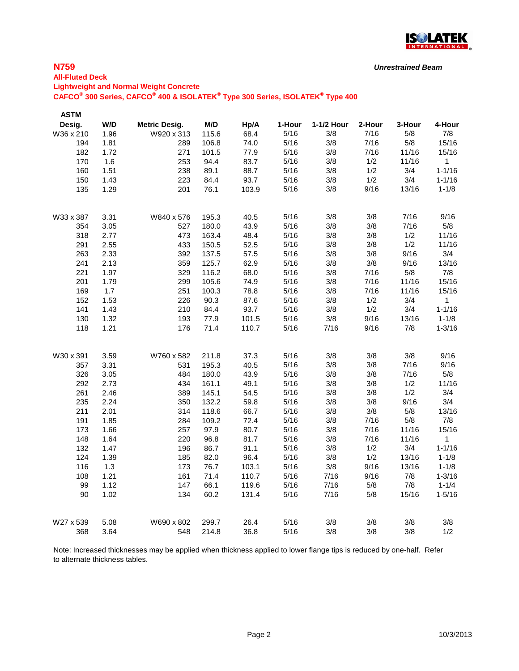

### **N759**

### **All-Fluted Deck**

**Lightweight and Normal Weight Concrete**

**CAFCO® 300 Series, CAFCO® 400 & ISOLATEK® Type 300 Series, ISOLATEK® Type 400**

| <b>ASTM</b> |      |                      |       |       |        |            |        |        |              |
|-------------|------|----------------------|-------|-------|--------|------------|--------|--------|--------------|
| Desig.      | W/D  | <b>Metric Desig.</b> | M/D   | Hp/A  | 1-Hour | 1-1/2 Hour | 2-Hour | 3-Hour | 4-Hour       |
| W36 x 210   | 1.96 | W920 x 313           | 115.6 | 68.4  | 5/16   | 3/8        | 7/16   | 5/8    | 7/8          |
| 194         | 1.81 | 289                  | 106.8 | 74.0  | 5/16   | 3/8        | 7/16   | 5/8    | 15/16        |
| 182         | 1.72 | 271                  | 101.5 | 77.9  | 5/16   | 3/8        | 7/16   | 11/16  | 15/16        |
| 170         | 1.6  | 253                  | 94.4  | 83.7  | 5/16   | 3/8        | 1/2    | 11/16  | $\mathbf{1}$ |
| 160         | 1.51 | 238                  | 89.1  | 88.7  | 5/16   | 3/8        | 1/2    | 3/4    | $1 - 1/16$   |
| 150         | 1.43 | 223                  | 84.4  | 93.7  | 5/16   | 3/8        | 1/2    | 3/4    | $1 - 1/16$   |
| 135         | 1.29 | 201                  | 76.1  | 103.9 | 5/16   | 3/8        | 9/16   | 13/16  | $1 - 1/8$    |
| W33 x 387   | 3.31 | W840 x 576           | 195.3 | 40.5  | 5/16   | 3/8        | 3/8    | 7/16   | 9/16         |
| 354         | 3.05 | 527                  | 180.0 | 43.9  | 5/16   | 3/8        | 3/8    | 7/16   | 5/8          |
| 318         | 2.77 | 473                  | 163.4 | 48.4  | 5/16   | 3/8        | 3/8    | 1/2    | 11/16        |
| 291         | 2.55 | 433                  | 150.5 | 52.5  | 5/16   | 3/8        | 3/8    | 1/2    | 11/16        |
| 263         | 2.33 | 392                  | 137.5 | 57.5  | 5/16   | 3/8        | 3/8    | 9/16   | 3/4          |
| 241         | 2.13 | 359                  | 125.7 | 62.9  | 5/16   | 3/8        | 3/8    | 9/16   | 13/16        |
| 221         | 1.97 | 329                  | 116.2 | 68.0  | 5/16   | 3/8        | 7/16   | 5/8    | 7/8          |
| 201         | 1.79 | 299                  | 105.6 | 74.9  | 5/16   | 3/8        | 7/16   | 11/16  | 15/16        |
| 169         | 1.7  | 251                  | 100.3 | 78.8  | 5/16   | 3/8        | 7/16   | 11/16  | 15/16        |
| 152         | 1.53 | 226                  | 90.3  | 87.6  | 5/16   | 3/8        | 1/2    | 3/4    | $\mathbf{1}$ |
| 141         | 1.43 | 210                  | 84.4  | 93.7  | 5/16   | 3/8        | 1/2    | 3/4    | $1 - 1/16$   |
| 130         | 1.32 | 193                  | 77.9  | 101.5 | 5/16   | 3/8        | 9/16   | 13/16  | $1 - 1/8$    |
| 118         | 1.21 | 176                  | 71.4  | 110.7 | 5/16   | 7/16       | 9/16   | 7/8    | $1 - 3/16$   |
| W30 x 391   | 3.59 | W760 x 582           | 211.8 | 37.3  | 5/16   | 3/8        | 3/8    | 3/8    | 9/16         |
| 357         | 3.31 | 531                  | 195.3 | 40.5  | 5/16   | 3/8        | 3/8    | 7/16   | 9/16         |
| 326         | 3.05 | 484                  | 180.0 | 43.9  | 5/16   | 3/8        | 3/8    | 7/16   | 5/8          |
| 292         | 2.73 | 434                  | 161.1 | 49.1  | 5/16   | 3/8        | 3/8    | 1/2    | 11/16        |
| 261         | 2.46 | 389                  | 145.1 | 54.5  | 5/16   | 3/8        | 3/8    | 1/2    | 3/4          |
| 235         | 2.24 | 350                  | 132.2 | 59.8  | 5/16   | 3/8        | 3/8    | 9/16   | 3/4          |
| 211         | 2.01 | 314                  | 118.6 | 66.7  | 5/16   | 3/8        | 3/8    | 5/8    | 13/16        |
| 191         | 1.85 | 284                  | 109.2 | 72.4  | 5/16   | 3/8        | 7/16   | $5/8$  | 7/8          |
| 173         | 1.66 | 257                  | 97.9  | 80.7  | 5/16   | 3/8        | 7/16   | 11/16  | 15/16        |
| 148         | 1.64 | 220                  | 96.8  | 81.7  | 5/16   | 3/8        | 7/16   | 11/16  | 1            |
| 132         | 1.47 | 196                  | 86.7  | 91.1  | 5/16   | 3/8        | 1/2    | 3/4    | $1 - 1/16$   |
| 124         | 1.39 | 185                  | 82.0  | 96.4  | 5/16   | 3/8        | 1/2    | 13/16  | $1 - 1/8$    |
| 116         | 1.3  | 173                  | 76.7  | 103.1 | 5/16   | 3/8        | 9/16   | 13/16  | $1 - 1/8$    |
| 108         | 1.21 | 161                  | 71.4  | 110.7 | 5/16   | 7/16       | 9/16   | 7/8    | $1 - 3/16$   |
| 99          | 1.12 | 147                  | 66.1  | 119.6 | 5/16   | 7/16       | 5/8    | 7/8    | $1 - 1/4$    |
| 90          | 1.02 | 134                  | 60.2  | 131.4 | 5/16   | 7/16       | 5/8    | 15/16  | $1 - 5/16$   |
| W27 x 539   | 5.08 | W690 x 802           | 299.7 | 26.4  | 5/16   | 3/8        | 3/8    | 3/8    | 3/8          |
| 368         | 3.64 | 548                  | 214.8 | 36.8  | 5/16   | 3/8        | 3/8    | 3/8    | 1/2          |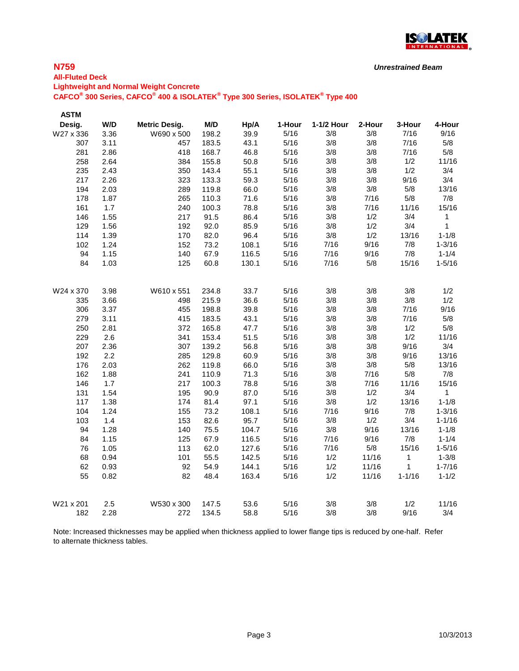

### **N759**

## **All-Fluted Deck Lightweight and Normal Weight Concrete CAFCO® 300 Series, CAFCO® 400 & ISOLATEK® Type 300 Series, ISOLATEK® Type 400**

**ASTM Desig. W/D Metric Desig. M/D Hp/A 1-Hour 1-1/2 Hour 2-Hour 3-Hour 4-Hour** W27 x 336 3.36 W690 x 500 198.2 39.9 5/16 3/8 3/8 7/16 9/16 3.11 457 183.5 43.1 5/16 3/8 3/8 7/16 5/8 2.86 418 168.7 46.8 5/16 3/8 3/8 7/16 5/8 2.64 384 155.8 50.8 5/16 3/8 3/8 1/2 11/16 2.43 350 143.4 55.1 5/16 3/8 3/8 1/2 3/4 2.26 323 133.3 59.3 5/16 3/8 3/8 9/16 3/4 2.03 289 119.8 66.0 5/16 3/8 3/8 5/8 13/16 1.87 265 110.3 71.6 5/16 3/8 7/16 5/8 7/8 1.7 240 100.3 78.8 5/16 3/8 7/16 11/16 15/16 1.55 217 91.5 86.4 5/16 3/8 1/2 3/4 1 1.56 192 92.0 85.9 5/16 3/8 1/2 3/4 1 1.39 170 82.0 96.4 5/16 3/8 1/2 13/16 1-1/8 1.24 152 73.2 108.1 5/16 7/16 9/16 7/8 1-3/16 1.15 140 67.9 116.5 5/16 7/16 9/16 7/8 1-1/4 1.03 125 60.8 130.1 5/16 7/16 5/8 15/16 1-5/16 W24 x 370 3.98 W610 x 551 234.8 33.7 5/16 3/8 3/8 3/8 1/2 3.66 498 215.9 36.6 5/16 3/8 3/8 3/8 1/2 3.37 455 198.8 39.8 5/16 3/8 3/8 7/16 9/16 3.11 415 183.5 43.1 5/16 3/8 3/8 7/16 5/8 2.81 372 165.8 47.7 5/16 3/8 3/8 1/2 5/8 2.6 341 153.4 51.5 5/16 3/8 3/8 1/2 11/16 2.36 307 139.2 56.8 5/16 3/8 3/8 9/16 3/4 2.2 285 129.8 60.9 5/16 3/8 3/8 9/16 13/16 2.03 262 119.8 66.0 5/16 3/8 3/8 5/8 13/16 1.88 241 110.9 71.3 5/16 3/8 7/16 5/8 7/8 1.7 217 100.3 78.8 5/16 3/8 7/16 11/16 15/16 1.54 195 90.9 87.0 5/16 3/8 1/2 3/4 1 1.38 174 81.4 97.1 5/16 3/8 1/2 13/16 1-1/8 1.24 155 73.2 108.1 5/16 7/16 9/16 7/8 1-3/16 1.4 153 82.6 95.7 5/16 3/8 1/2 3/4 1-1/16 1.28 140 75.5 104.7 5/16 3/8 9/16 13/16 1-1/8 1.15 125 67.9 116.5 5/16 7/16 9/16 7/8 1-1/4 1.05 113 62.0 127.6 5/16 7/16 5/8 15/16 1-5/16 0.94 101 55.5 142.5 5/16 1/2 11/16 1 1-3/8 0.93 92 54.9 144.1 5/16 1/2 11/16 1 1-7/16 0.82 82 48.4 163.4 5/16 1/2 11/16 1-1/16 1-1/2 W21 x 201 2.5 W530 x 300 147.5 53.6 5/16 3/8 3/8 1/2 11/16 2.28 272 134.5 58.8 5/16 3/8 3/8 9/16 3/4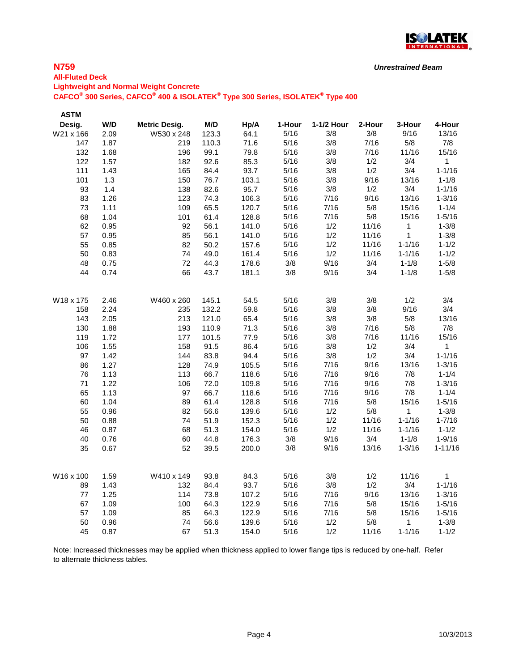

### **N759**

# **All-Fluted Deck Lightweight and Normal Weight Concrete CAFCO® 300 Series, CAFCO® 400 & ISOLATEK® Type 300 Series, ISOLATEK® Type 400**

| <b>ASTM</b> |      |                      |       |       |        |            |        |            |              |
|-------------|------|----------------------|-------|-------|--------|------------|--------|------------|--------------|
| Desig.      | W/D  | <b>Metric Desig.</b> | M/D   | Hp/A  | 1-Hour | 1-1/2 Hour | 2-Hour | 3-Hour     | 4-Hour       |
| W21 x 166   | 2.09 | W530 x 248           | 123.3 | 64.1  | 5/16   | 3/8        | 3/8    | 9/16       | 13/16        |
| 147         | 1.87 | 219                  | 110.3 | 71.6  | 5/16   | 3/8        | 7/16   | 5/8        | 7/8          |
| 132         | 1.68 | 196                  | 99.1  | 79.8  | 5/16   | 3/8        | 7/16   | 11/16      | 15/16        |
| 122         | 1.57 | 182                  | 92.6  | 85.3  | 5/16   | 3/8        | 1/2    | 3/4        | $\mathbf{1}$ |
| 111         | 1.43 | 165                  | 84.4  | 93.7  | 5/16   | 3/8        | 1/2    | 3/4        | $1 - 1/16$   |
| 101         | 1.3  | 150                  | 76.7  | 103.1 | 5/16   | 3/8        | 9/16   | 13/16      | $1 - 1/8$    |
| 93          | 1.4  | 138                  | 82.6  | 95.7  | 5/16   | 3/8        | 1/2    | 3/4        | $1 - 1/16$   |
| 83          | 1.26 | 123                  | 74.3  | 106.3 | 5/16   | 7/16       | 9/16   | 13/16      | $1 - 3/16$   |
| 73          | 1.11 | 109                  | 65.5  | 120.7 | 5/16   | 7/16       | $5/8$  | 15/16      | $1 - 1/4$    |
| 68          | 1.04 | 101                  | 61.4  | 128.8 | 5/16   | 7/16       | $5/8$  | 15/16      | $1 - 5/16$   |
| 62          | 0.95 | 92                   | 56.1  | 141.0 | 5/16   | 1/2        | 11/16  | 1          | $1 - 3/8$    |
| 57          | 0.95 | 85                   | 56.1  | 141.0 | 5/16   | 1/2        | 11/16  | 1          | $1 - 3/8$    |
| 55          | 0.85 | 82                   | 50.2  | 157.6 | 5/16   | 1/2        | 11/16  | $1 - 1/16$ | $1 - 1/2$    |
| 50          | 0.83 | 74                   | 49.0  | 161.4 | 5/16   | 1/2        | 11/16  | $1 - 1/16$ | $1 - 1/2$    |
| 48          | 0.75 | 72                   | 44.3  | 178.6 | 3/8    | 9/16       | 3/4    | $1 - 1/8$  | $1 - 5/8$    |
| 44          | 0.74 | 66                   | 43.7  | 181.1 | 3/8    | 9/16       | 3/4    | $1 - 1/8$  | $1 - 5/8$    |
| W18 x 175   | 2.46 | W460 x 260           | 145.1 | 54.5  | 5/16   | 3/8        | 3/8    | 1/2        | 3/4          |
| 158         | 2.24 | 235                  | 132.2 | 59.8  | 5/16   | 3/8        | 3/8    | 9/16       | 3/4          |
| 143         | 2.05 | 213                  | 121.0 | 65.4  | 5/16   | 3/8        | 3/8    | 5/8        | 13/16        |
| 130         | 1.88 | 193                  | 110.9 | 71.3  | 5/16   | 3/8        | 7/16   | 5/8        | 7/8          |
| 119         | 1.72 | 177                  | 101.5 | 77.9  | 5/16   | 3/8        | 7/16   | 11/16      | 15/16        |
| 106         | 1.55 | 158                  | 91.5  | 86.4  | 5/16   | 3/8        | 1/2    | 3/4        | 1            |
| 97          | 1.42 | 144                  | 83.8  | 94.4  | 5/16   | 3/8        | 1/2    | 3/4        | $1 - 1/16$   |
| 86          | 1.27 | 128                  | 74.9  | 105.5 | 5/16   | 7/16       | 9/16   | 13/16      | $1 - 3/16$   |
| 76          | 1.13 | 113                  | 66.7  | 118.6 | 5/16   | 7/16       | 9/16   | 7/8        | $1 - 1/4$    |
| 71          | 1.22 | 106                  | 72.0  | 109.8 | 5/16   | 7/16       | 9/16   | 7/8        | $1 - 3/16$   |
| 65          | 1.13 | 97                   | 66.7  | 118.6 | 5/16   | 7/16       | 9/16   | 7/8        | $1 - 1/4$    |
| 60          | 1.04 | 89                   | 61.4  | 128.8 | 5/16   | 7/16       | 5/8    | 15/16      | $1 - 5/16$   |
| 55          | 0.96 | 82                   | 56.6  | 139.6 | 5/16   | 1/2        | $5/8$  | 1          | $1 - 3/8$    |
| 50          | 0.88 | 74                   | 51.9  | 152.3 | 5/16   | 1/2        | 11/16  | $1 - 1/16$ | $1 - 7/16$   |
| 46          | 0.87 | 68                   | 51.3  | 154.0 | 5/16   | 1/2        | 11/16  | $1 - 1/16$ | $1 - 1/2$    |
| 40          | 0.76 | 60                   | 44.8  | 176.3 | 3/8    | 9/16       | 3/4    | $1 - 1/8$  | $1 - 9/16$   |
| 35          | 0.67 | 52                   | 39.5  | 200.0 | 3/8    | 9/16       | 13/16  | $1 - 3/16$ | $1 - 11/16$  |
| W16 x 100   | 1.59 | W410 x 149           | 93.8  | 84.3  | 5/16   | 3/8        | 1/2    | 11/16      | $\mathbf{1}$ |
|             |      |                      |       |       |        |            |        |            |              |
| 89          | 1.43 | 132                  | 84.4  | 93.7  | 5/16   | 3/8        | 1/2    | 3/4        | $1 - 1/16$   |
| 77          | 1.25 | 114                  | 73.8  | 107.2 | 5/16   | 7/16       | 9/16   | 13/16      | $1 - 3/16$   |
| 67          | 1.09 | 100                  | 64.3  | 122.9 | 5/16   | 7/16       | 5/8    | 15/16      | $1 - 5/16$   |
| 57          | 1.09 | 85                   | 64.3  | 122.9 | 5/16   | 7/16       | 5/8    | 15/16      | $1 - 5/16$   |
| 50          | 0.96 | 74                   | 56.6  | 139.6 | 5/16   | 1/2        | 5/8    | 1          | $1 - 3/8$    |
| 45          | 0.87 | 67                   | 51.3  | 154.0 | 5/16   | 1/2        | 11/16  | $1 - 1/16$ | $1 - 1/2$    |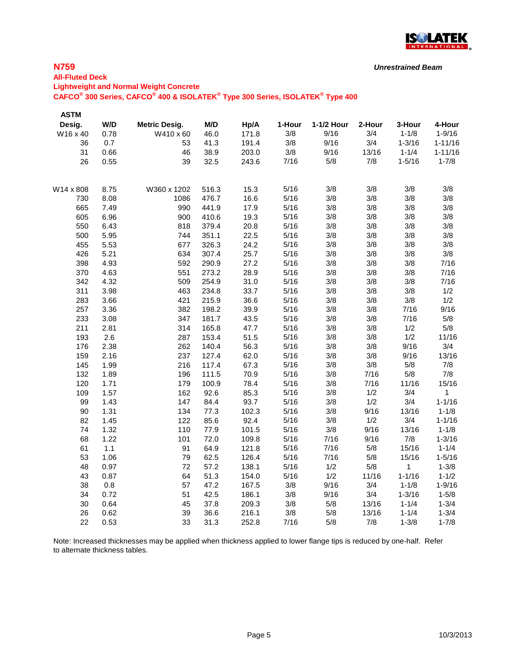

### **N759**

# **All-Fluted Deck**

**Lightweight and Normal Weight Concrete**

**CAFCO® 300 Series, CAFCO® 400 & ISOLATEK® Type 300 Series, ISOLATEK® Type 400**

| <b>ASTM</b> |       |                      |       |       |        |            |        |            |             |
|-------------|-------|----------------------|-------|-------|--------|------------|--------|------------|-------------|
| Desig.      | W/D   | <b>Metric Desig.</b> | M/D   | Hp/A  | 1-Hour | 1-1/2 Hour | 2-Hour | 3-Hour     | 4-Hour      |
| W16 x 40    | 0.78  | W410 x 60            | 46.0  | 171.8 | 3/8    | 9/16       | 3/4    | $1 - 1/8$  | $1 - 9/16$  |
| 36          | 0.7   | 53                   | 41.3  | 191.4 | 3/8    | 9/16       | 3/4    | $1 - 3/16$ | $1 - 11/16$ |
| 31          | 0.66  | 46                   | 38.9  | 203.0 | 3/8    | 9/16       | 13/16  | $1 - 1/4$  | $1 - 11/16$ |
| 26          | 0.55  | 39                   | 32.5  | 243.6 | 7/16   | 5/8        | 7/8    | $1 - 5/16$ | $1 - 7/8$   |
| W14 x 808   | 8.75  | W360 x 1202          | 516.3 | 15.3  | 5/16   | 3/8        | 3/8    | 3/8        | 3/8         |
| 730         | 8.08  | 1086                 | 476.7 | 16.6  | 5/16   | 3/8        | 3/8    | 3/8        | 3/8         |
| 665         | 7.49  | 990                  | 441.9 | 17.9  | 5/16   | 3/8        | 3/8    | 3/8        | 3/8         |
| 605         | 6.96  | 900                  | 410.6 | 19.3  | 5/16   | 3/8        | 3/8    | 3/8        | 3/8         |
| 550         | 6.43  | 818                  | 379.4 | 20.8  | 5/16   | 3/8        | 3/8    | 3/8        | 3/8         |
| 500         | 5.95  | 744                  | 351.1 | 22.5  | 5/16   | 3/8        | 3/8    | 3/8        | 3/8         |
| 455         | 5.53  | 677                  | 326.3 | 24.2  | 5/16   | 3/8        | 3/8    | 3/8        | 3/8         |
| 426         | 5.21  | 634                  | 307.4 | 25.7  | 5/16   | 3/8        | 3/8    | 3/8        | 3/8         |
| 398         | 4.93  | 592                  | 290.9 | 27.2  | 5/16   | 3/8        | 3/8    | 3/8        | 7/16        |
| 370         | 4.63  | 551                  | 273.2 | 28.9  | 5/16   | 3/8        | 3/8    | 3/8        | 7/16        |
| 342         | 4.32  | 509                  | 254.9 | 31.0  | 5/16   | 3/8        | 3/8    | 3/8        | 7/16        |
| 311         | 3.98  | 463                  | 234.8 | 33.7  | 5/16   | 3/8        | 3/8    | 3/8        | 1/2         |
| 283         | 3.66  | 421                  | 215.9 | 36.6  | 5/16   | 3/8        | 3/8    | 3/8        | 1/2         |
| 257         | 3.36  | 382                  | 198.2 | 39.9  | 5/16   | 3/8        | 3/8    | 7/16       | 9/16        |
| 233         | 3.08  | 347                  | 181.7 | 43.5  | 5/16   | 3/8        | 3/8    | 7/16       | 5/8         |
| 211         | 2.81  | 314                  | 165.8 | 47.7  | 5/16   | 3/8        | 3/8    | 1/2        | 5/8         |
| 193         | 2.6   | 287                  | 153.4 | 51.5  | 5/16   | 3/8        | 3/8    | 1/2        | 11/16       |
| 176         | 2.38  | 262                  | 140.4 | 56.3  | 5/16   | 3/8        | 3/8    | 9/16       | 3/4         |
| 159         | 2.16  | 237                  | 127.4 | 62.0  | 5/16   | 3/8        | 3/8    | 9/16       | 13/16       |
| 145         | 1.99  | 216                  | 117.4 | 67.3  | 5/16   | 3/8        | 3/8    | 5/8        | 7/8         |
| 132         | 1.89  | 196                  | 111.5 | 70.9  | 5/16   | 3/8        | 7/16   | 5/8        | 7/8         |
| 120         | 1.71  | 179                  | 100.9 | 78.4  | 5/16   | 3/8        | 7/16   | 11/16      | 15/16       |
| 109         | 1.57  | 162                  | 92.6  | 85.3  | 5/16   | 3/8        | 1/2    | 3/4        | $\mathbf 1$ |
| 99          | 1.43  | 147                  | 84.4  | 93.7  | 5/16   | 3/8        | 1/2    | 3/4        | $1 - 1/16$  |
| 90          | 1.31  | 134                  | 77.3  | 102.3 | 5/16   | 3/8        | 9/16   | 13/16      | $1 - 1/8$   |
| 82          | 1.45  | 122                  | 85.6  | 92.4  | 5/16   | 3/8        | 1/2    | 3/4        | $1 - 1/16$  |
| 74          | 1.32  | 110                  | 77.9  | 101.5 | 5/16   | 3/8        | 9/16   | 13/16      | $1 - 1/8$   |
| 68          | 1.22  | 101                  | 72.0  | 109.8 | 5/16   | 7/16       | 9/16   | 7/8        | $1 - 3/16$  |
| 61          | $1.1$ | 91                   | 64.9  | 121.8 | 5/16   | 7/16       | 5/8    | 15/16      | $1 - 1/4$   |
| 53          | 1.06  | 79                   | 62.5  | 126.4 | 5/16   | 7/16       | 5/8    | 15/16      | $1 - 5/16$  |
| 48          | 0.97  | 72                   | 57.2  | 138.1 | 5/16   | 1/2        | 5/8    | 1          | $1 - 3/8$   |
| 43          | 0.87  | 64                   | 51.3  | 154.0 | 5/16   | 1/2        | 11/16  | $1 - 1/16$ | $1 - 1/2$   |
| 38          | 0.8   | 57                   | 47.2  | 167.5 | 3/8    | 9/16       | 3/4    | $1 - 1/8$  | $1 - 9/16$  |
| 34          | 0.72  | 51                   | 42.5  | 186.1 | 3/8    | 9/16       | 3/4    | $1 - 3/16$ | $1 - 5/8$   |
| 30          | 0.64  | 45                   | 37.8  | 209.3 | 3/8    | 5/8        | 13/16  | $1 - 1/4$  | $1 - 3/4$   |
| 26          | 0.62  | 39                   | 36.6  | 216.1 | 3/8    | 5/8        | 13/16  | $1 - 1/4$  | $1 - 3/4$   |
| 22          | 0.53  | 33                   | 31.3  | 252.8 | 7/16   | 5/8        | 7/8    | $1 - 3/8$  | $1 - 7/8$   |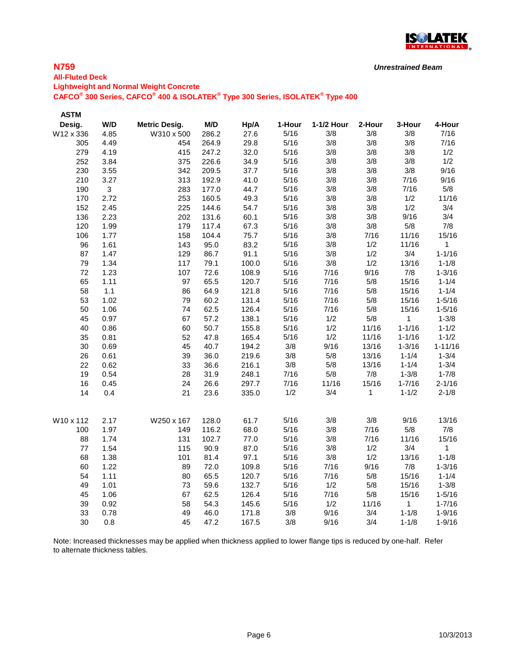

### **N759**

# **All-Fluted Deck Lightweight and Normal Weight Concrete CAFCO® 300 Series, CAFCO® 400 & ISOLATEK® Type 300 Series, ISOLATEK® Type 400**

| <b>ASTM</b> |      |                      |       |       |        |            |        |            |              |
|-------------|------|----------------------|-------|-------|--------|------------|--------|------------|--------------|
| Desig.      | W/D  | <b>Metric Desig.</b> | M/D   | Hp/A  | 1-Hour | 1-1/2 Hour | 2-Hour | 3-Hour     | 4-Hour       |
| W12 x 336   | 4.85 | W310 x 500           | 286.2 | 27.6  | 5/16   | 3/8        | 3/8    | 3/8        | 7/16         |
| 305         | 4.49 | 454                  | 264.9 | 29.8  | 5/16   | 3/8        | 3/8    | 3/8        | 7/16         |
| 279         | 4.19 | 415                  | 247.2 | 32.0  | 5/16   | 3/8        | 3/8    | 3/8        | 1/2          |
| 252         | 3.84 | 375                  | 226.6 | 34.9  | 5/16   | 3/8        | 3/8    | 3/8        | 1/2          |
| 230         | 3.55 | 342                  | 209.5 | 37.7  | 5/16   | 3/8        | 3/8    | 3/8        | 9/16         |
| 210         | 3.27 | 313                  | 192.9 | 41.0  | 5/16   | 3/8        | 3/8    | 7/16       | 9/16         |
| 190         | 3    | 283                  | 177.0 | 44.7  | 5/16   | 3/8        | 3/8    | 7/16       | 5/8          |
| 170         | 2.72 | 253                  | 160.5 | 49.3  | 5/16   | 3/8        | 3/8    | 1/2        | 11/16        |
| 152         | 2.45 | 225                  | 144.6 | 54.7  | 5/16   | 3/8        | 3/8    | 1/2        | 3/4          |
| 136         | 2.23 | 202                  | 131.6 | 60.1  | 5/16   | 3/8        | 3/8    | 9/16       | 3/4          |
| 120         | 1.99 | 179                  | 117.4 | 67.3  | 5/16   | 3/8        | 3/8    | 5/8        | 7/8          |
| 106         | 1.77 | 158                  | 104.4 | 75.7  | 5/16   | 3/8        | 7/16   | 11/16      | 15/16        |
| 96          | 1.61 | 143                  | 95.0  | 83.2  | 5/16   | 3/8        | 1/2    | 11/16      | 1            |
| 87          | 1.47 | 129                  | 86.7  | 91.1  | 5/16   | 3/8        | 1/2    | 3/4        | $1 - 1/16$   |
| 79          | 1.34 | 117                  | 79.1  | 100.0 | 5/16   | 3/8        | 1/2    | 13/16      | $1 - 1/8$    |
| 72          | 1.23 | 107                  | 72.6  | 108.9 | 5/16   | 7/16       | 9/16   | 7/8        | $1 - 3/16$   |
| 65          | 1.11 | 97                   | 65.5  | 120.7 | 5/16   | 7/16       | 5/8    | 15/16      | $1 - 1/4$    |
| 58          | 1.1  | 86                   | 64.9  | 121.8 | 5/16   | 7/16       | 5/8    | 15/16      | $1 - 1/4$    |
| 53          | 1.02 | 79                   | 60.2  | 131.4 | 5/16   | 7/16       | 5/8    | 15/16      | $1 - 5/16$   |
| 50          | 1.06 | 74                   | 62.5  | 126.4 | 5/16   | 7/16       | 5/8    | 15/16      | $1 - 5/16$   |
| 45          | 0.97 | 67                   | 57.2  | 138.1 | 5/16   | 1/2        | 5/8    | 1          | $1 - 3/8$    |
| 40          | 0.86 | 60                   | 50.7  | 155.8 | 5/16   | 1/2        | 11/16  | $1 - 1/16$ | $1 - 1/2$    |
| 35          | 0.81 | 52                   | 47.8  | 165.4 | 5/16   | 1/2        | 11/16  | $1 - 1/16$ | $1 - 1/2$    |
| 30          | 0.69 | 45                   | 40.7  | 194.2 | 3/8    | 9/16       | 13/16  | $1 - 3/16$ | $1 - 11/16$  |
| 26          | 0.61 | 39                   | 36.0  | 219.6 | 3/8    | 5/8        | 13/16  | $1 - 1/4$  | $1 - 3/4$    |
| 22          | 0.62 | 33                   | 36.6  | 216.1 | 3/8    | 5/8        | 13/16  | $1 - 1/4$  | $1 - 3/4$    |
| 19          | 0.54 | 28                   | 31.9  | 248.1 | 7/16   | 5/8        | 7/8    | $1 - 3/8$  | $1 - 7/8$    |
| 16          | 0.45 | 24                   | 26.6  | 297.7 | 7/16   | 11/16      | 15/16  | $1 - 7/16$ | $2 - 1/16$   |
| 14          | 0.4  | 21                   | 23.6  | 335.0 | 1/2    | 3/4        | 1      | $1 - 1/2$  | $2 - 1/8$    |
| W10 x 112   | 2.17 | W250 x 167           | 128.0 | 61.7  | 5/16   | 3/8        | 3/8    | 9/16       | 13/16        |
| 100         | 1.97 | 149                  | 116.2 | 68.0  | 5/16   | 3/8        | 7/16   | 5/8        | 7/8          |
| 88          | 1.74 | 131                  | 102.7 | 77.0  | 5/16   | 3/8        | 7/16   | 11/16      | 15/16        |
| 77          | 1.54 | 115                  | 90.9  | 87.0  | 5/16   | 3/8        | 1/2    | 3/4        | $\mathbf{1}$ |
| 68          | 1.38 | 101                  | 81.4  | 97.1  | 5/16   | 3/8        | 1/2    | 13/16      | $1 - 1/8$    |
| 60          | 1.22 | 89                   | 72.0  | 109.8 | 5/16   | 7/16       | 9/16   | 7/8        | $1 - 3/16$   |
| 54          | 1.11 | 80                   | 65.5  | 120.7 | 5/16   | 7/16       | 5/8    | 15/16      | $1 - 1/4$    |
| 49          | 1.01 | 73                   | 59.6  | 132.7 | 5/16   | 1/2        | 5/8    | 15/16      | $1 - 3/8$    |
| 45          | 1.06 | 67                   | 62.5  | 126.4 | 5/16   | 7/16       | 5/8    | 15/16      | $1 - 5/16$   |
| 39          | 0.92 | 58                   | 54.3  | 145.6 | 5/16   | 1/2        | 11/16  | 1          | $1 - 7/16$   |
| 33          | 0.78 | 49                   | 46.0  | 171.8 | 3/8    | 9/16       | 3/4    | $1 - 1/8$  | $1 - 9/16$   |
| 30          | 0.8  | 45                   | 47.2  | 167.5 | 3/8    | 9/16       | 3/4    | $1 - 1/8$  | $1 - 9/16$   |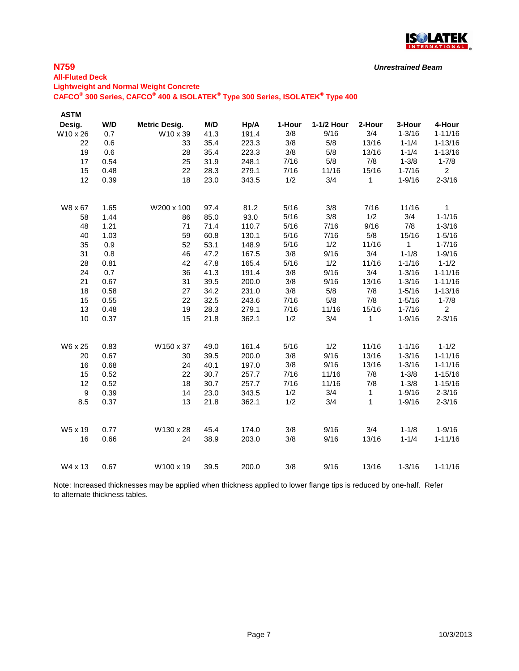

### **N759**

# **All-Fluted Deck Lightweight and Normal Weight Concrete CAFCO® 300 Series, CAFCO® 400 & ISOLATEK® Type 300 Series, ISOLATEK® Type 400**

| <b>ASTM</b>      |      |                      |      |       |        |            |        |              |                |
|------------------|------|----------------------|------|-------|--------|------------|--------|--------------|----------------|
| Desig.           | W/D  | <b>Metric Desig.</b> | M/D  | Hp/A  | 1-Hour | 1-1/2 Hour | 2-Hour | 3-Hour       | 4-Hour         |
| W10 x 26         | 0.7  | W10 x 39             | 41.3 | 191.4 | 3/8    | 9/16       | 3/4    | $1 - 3/16$   | $1 - 11/16$    |
| 22               | 0.6  | 33                   | 35.4 | 223.3 | 3/8    | 5/8        | 13/16  | $1 - 1/4$    | $1 - 13/16$    |
| 19               | 0.6  | 28                   | 35.4 | 223.3 | 3/8    | 5/8        | 13/16  | $1 - 1/4$    | $1 - 13/16$    |
| 17               | 0.54 | 25                   | 31.9 | 248.1 | 7/16   | 5/8        | 7/8    | $1 - 3/8$    | $1 - 7/8$      |
| 15               | 0.48 | 22                   | 28.3 | 279.1 | 7/16   | 11/16      | 15/16  | $1 - 7/16$   | $\overline{2}$ |
| 12               | 0.39 | 18                   | 23.0 | 343.5 | 1/2    | 3/4        | 1      | $1 - 9/16$   | $2 - 3/16$     |
| W8 x 67          | 1.65 | W200 x 100           | 97.4 | 81.2  | 5/16   | 3/8        | 7/16   | 11/16        | 1              |
| 58               | 1.44 | 86                   | 85.0 | 93.0  | 5/16   | 3/8        | 1/2    | 3/4          | $1 - 1/16$     |
| 48               | 1.21 | 71                   | 71.4 | 110.7 | 5/16   | 7/16       | 9/16   | 7/8          | $1 - 3/16$     |
| 40               | 1.03 | 59                   | 60.8 | 130.1 | 5/16   | 7/16       | $5/8$  | 15/16        | $1 - 5/16$     |
| 35               | 0.9  | 52                   | 53.1 | 148.9 | 5/16   | 1/2        | 11/16  | $\mathbf{1}$ | $1 - 7/16$     |
| 31               | 0.8  | 46                   | 47.2 | 167.5 | 3/8    | 9/16       | 3/4    | $1 - 1/8$    | $1 - 9/16$     |
| 28               | 0.81 | 42                   | 47.8 | 165.4 | 5/16   | 1/2        | 11/16  | $1 - 1/16$   | $1 - 1/2$      |
| 24               | 0.7  | 36                   | 41.3 | 191.4 | 3/8    | 9/16       | 3/4    | $1 - 3/16$   | $1 - 11/16$    |
| 21               | 0.67 | 31                   | 39.5 | 200.0 | 3/8    | 9/16       | 13/16  | $1 - 3/16$   | $1 - 11/16$    |
| 18               | 0.58 | 27                   | 34.2 | 231.0 | 3/8    | 5/8        | 7/8    | $1 - 5/16$   | $1 - 13/16$    |
| 15               | 0.55 | 22                   | 32.5 | 243.6 | 7/16   | 5/8        | 7/8    | $1 - 5/16$   | $1 - 7/8$      |
| 13               | 0.48 | 19                   | 28.3 | 279.1 | 7/16   | 11/16      | 15/16  | $1 - 7/16$   | $\overline{2}$ |
| 10               | 0.37 | 15                   | 21.8 | 362.1 | 1/2    | 3/4        | 1      | $1 - 9/16$   | $2 - 3/16$     |
| W6 x 25          | 0.83 | W150 x 37            | 49.0 | 161.4 | 5/16   | 1/2        | 11/16  | $1 - 1/16$   | $1 - 1/2$      |
| 20               | 0.67 | 30                   | 39.5 | 200.0 | 3/8    | 9/16       | 13/16  | $1 - 3/16$   | $1 - 11/16$    |
| 16               | 0.68 | 24                   | 40.1 | 197.0 | $3/8$  | 9/16       | 13/16  | $1 - 3/16$   | $1 - 11/16$    |
| 15               | 0.52 | 22                   | 30.7 | 257.7 | 7/16   | 11/16      | 7/8    | $1 - 3/8$    | $1 - 15/16$    |
| 12               | 0.52 | 18                   | 30.7 | 257.7 | 7/16   | 11/16      | 7/8    | $1 - 3/8$    | $1 - 15/16$    |
| $\boldsymbol{9}$ | 0.39 | 14                   | 23.0 | 343.5 | 1/2    | 3/4        | 1      | $1 - 9/16$   | $2 - 3/16$     |
| 8.5              | 0.37 | 13                   | 21.8 | 362.1 | 1/2    | 3/4        | 1      | $1 - 9/16$   | $2 - 3/16$     |
| W5 x 19          | 0.77 | W130 x 28            | 45.4 | 174.0 | 3/8    | 9/16       | 3/4    | $1 - 1/8$    | $1 - 9/16$     |
| 16               | 0.66 | 24                   | 38.9 | 203.0 | 3/8    | 9/16       | 13/16  | $1 - 1/4$    | $1 - 11/16$    |
| W4 x 13          | 0.67 | W100 x 19            | 39.5 | 200.0 | 3/8    | 9/16       | 13/16  | $1 - 3/16$   | $1 - 11/16$    |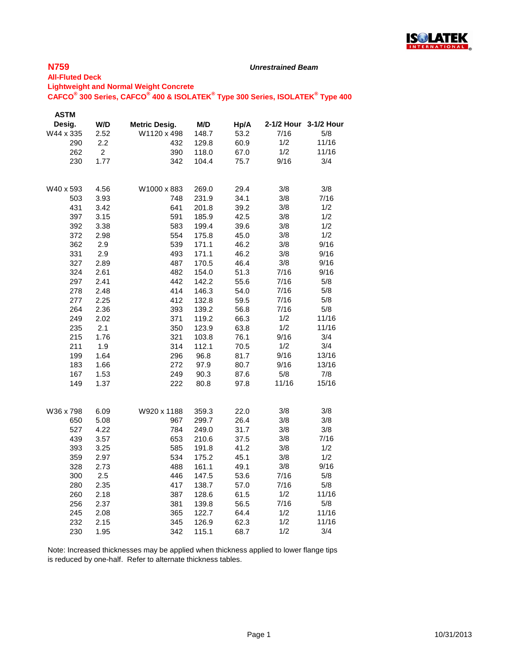

#### *Unrestrained Beam*

#### **All-Fluted Deck Lightweight and Normal Weight Concrete CAFCO® 300 Series, CAFCO® 400 & ISOLATEK® Type 300 Series, ISOLATEK® Type 400**

| <b>ASTM</b> |                |                      |       |      |       |                       |
|-------------|----------------|----------------------|-------|------|-------|-----------------------|
| Desig.      | W/D            | <b>Metric Desig.</b> | M/D   | Hp/A |       | 2-1/2 Hour 3-1/2 Hour |
| W44 x 335   | 2.52           | W1120 x 498          | 148.7 | 53.2 | 7/16  | 5/8                   |
| 290         | 2.2            | 432                  | 129.8 | 60.9 | 1/2   | 11/16                 |
| 262         | $\overline{2}$ | 390                  | 118.0 | 67.0 | 1/2   | 11/16                 |
| 230         | 1.77           | 342                  | 104.4 | 75.7 | 9/16  | 3/4                   |
| W40 x 593   | 4.56           | W1000 x 883          | 269.0 | 29.4 | 3/8   | 3/8                   |
| 503         | 3.93           | 748                  | 231.9 | 34.1 | 3/8   | 7/16                  |
| 431         | 3.42           | 641                  | 201.8 | 39.2 | 3/8   | 1/2                   |
| 397         | 3.15           | 591                  | 185.9 | 42.5 | 3/8   | 1/2                   |
| 392         | 3.38           | 583                  | 199.4 | 39.6 | 3/8   | 1/2                   |
| 372         | 2.98           | 554                  | 175.8 | 45.0 | 3/8   | 1/2                   |
| 362         | 2.9            | 539                  | 171.1 | 46.2 | 3/8   | 9/16                  |
| 331         | 2.9            | 493                  | 171.1 | 46.2 | 3/8   | 9/16                  |
| 327         | 2.89           | 487                  | 170.5 | 46.4 | 3/8   | 9/16                  |
| 324         | 2.61           | 482                  | 154.0 | 51.3 | 7/16  | 9/16                  |
| 297         | 2.41           | 442                  | 142.2 | 55.6 | 7/16  | 5/8                   |
| 278         | 2.48           | 414                  | 146.3 | 54.0 | 7/16  | 5/8                   |
| 277         | 2.25           | 412                  | 132.8 | 59.5 | 7/16  | 5/8                   |
| 264         | 2.36           | 393                  | 139.2 | 56.8 | 7/16  | 5/8                   |
| 249         | 2.02           | 371                  | 119.2 | 66.3 | 1/2   | 11/16                 |
| 235         | 2.1            | 350                  | 123.9 | 63.8 | 1/2   | 11/16                 |
| 215         | 1.76           | 321                  | 103.8 | 76.1 | 9/16  | 3/4                   |
| 211         | 1.9            | 314                  | 112.1 | 70.5 | 1/2   | 3/4                   |
| 199         | 1.64           | 296                  | 96.8  | 81.7 | 9/16  | 13/16                 |
| 183         | 1.66           | 272                  | 97.9  | 80.7 | 9/16  | 13/16                 |
| 167         | 1.53           | 249                  | 90.3  | 87.6 | 5/8   | 7/8                   |
| 149         | 1.37           | 222                  | 80.8  | 97.8 | 11/16 | 15/16                 |
| W36 x 798   | 6.09           | W920 x 1188          | 359.3 | 22.0 | 3/8   | 3/8                   |
| 650         | 5.08           | 967                  | 299.7 | 26.4 | 3/8   | 3/8                   |
| 527         | 4.22           | 784                  | 249.0 | 31.7 | 3/8   | 3/8                   |
| 439         | 3.57           | 653                  | 210.6 | 37.5 | 3/8   | 7/16                  |
| 393         | 3.25           | 585                  | 191.8 | 41.2 | 3/8   | 1/2                   |
| 359         | 2.97           | 534                  | 175.2 | 45.1 | 3/8   | 1/2                   |
| 328         | 2.73           | 488                  | 161.1 | 49.1 | 3/8   | 9/16                  |
| 300         | 2.5            | 446                  | 147.5 | 53.6 | 7/16  | 5/8                   |
| 280         | 2.35           | 417                  | 138.7 | 57.0 | 7/16  | 5/8                   |
| 260         | 2.18           | 387                  | 128.6 | 61.5 | 1/2   | 11/16                 |
| 256         | 2.37           | 381                  | 139.8 | 56.5 | 7/16  | 5/8                   |
| 245         | 2.08           | 365                  | 122.7 | 64.4 | 1/2   | 11/16                 |
| 232         | 2.15           | 345                  | 126.9 | 62.3 | 1/2   | 11/16                 |
| 230         | 1.95           | 342                  | 115.1 | 68.7 | 1/2   | 3/4                   |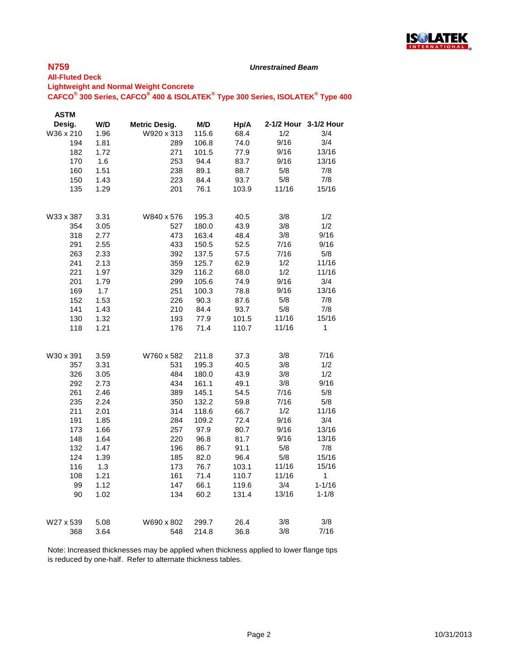

#### *Unrestrained Beam*

#### **All-Fluted Deck Lightweight and Normal Weight Concrete**

**CAFCO® 300 Series, CAFCO® 400 & ISOLATEK® Type 300 Series, ISOLATEK® Type 400**

| <b>ASTM</b> |      |                      |       |       |       |                       |
|-------------|------|----------------------|-------|-------|-------|-----------------------|
| Desig.      | W/D  | <b>Metric Desig.</b> | M/D   | Hp/A  |       | 2-1/2 Hour 3-1/2 Hour |
| W36 x 210   | 1.96 | W920 x 313           | 115.6 | 68.4  | 1/2   | 3/4                   |
| 194         | 1.81 | 289                  | 106.8 | 74.0  | 9/16  | 3/4                   |
| 182         | 1.72 | 271                  | 101.5 | 77.9  | 9/16  | 13/16                 |
| 170         | 1.6  | 253                  | 94.4  | 83.7  | 9/16  | 13/16                 |
| 160         | 1.51 | 238                  | 89.1  | 88.7  | 5/8   | 7/8                   |
| 150         | 1.43 | 223                  | 84.4  | 93.7  | 5/8   | 7/8                   |
| 135         | 1.29 | 201                  | 76.1  | 103.9 | 11/16 | 15/16                 |
| W33 x 387   | 3.31 | W840 x 576           | 195.3 | 40.5  | 3/8   | 1/2                   |
| 354         | 3.05 | 527                  | 180.0 | 43.9  | 3/8   | 1/2                   |
| 318         | 2.77 | 473                  | 163.4 | 48.4  | 3/8   | 9/16                  |
| 291         | 2.55 | 433                  | 150.5 | 52.5  | 7/16  | 9/16                  |
| 263         | 2.33 | 392                  | 137.5 | 57.5  | 7/16  | 5/8                   |
| 241         | 2.13 | 359                  | 125.7 | 62.9  | 1/2   | 11/16                 |
| 221         | 1.97 | 329                  | 116.2 | 68.0  | 1/2   | 11/16                 |
| 201         | 1.79 | 299                  | 105.6 | 74.9  | 9/16  | 3/4                   |
| 169         | 1.7  | 251                  | 100.3 | 78.8  | 9/16  | 13/16                 |
| 152         | 1.53 | 226                  | 90.3  | 87.6  | 5/8   | 7/8                   |
| 141         | 1.43 | 210                  | 84.4  | 93.7  | 5/8   | 7/8                   |
| 130         | 1.32 | 193                  | 77.9  | 101.5 | 11/16 | 15/16                 |
| 118         | 1.21 | 176                  | 71.4  | 110.7 | 11/16 | 1                     |
| W30 x 391   | 3.59 | W760 x 582           | 211.8 | 37.3  | 3/8   | 7/16                  |
| 357         | 3.31 | 531                  | 195.3 | 40.5  | 3/8   | 1/2                   |
| 326         | 3.05 | 484                  | 180.0 | 43.9  | 3/8   | 1/2                   |
| 292         | 2.73 | 434                  | 161.1 | 49.1  | 3/8   | 9/16                  |
| 261         | 2.46 | 389                  | 145.1 | 54.5  | 7/16  | 5/8                   |
| 235         | 2.24 | 350                  | 132.2 | 59.8  | 7/16  | 5/8                   |
| 211         | 2.01 | 314                  | 118.6 | 66.7  | 1/2   | 11/16                 |
| 191         | 1.85 | 284                  | 109.2 | 72.4  | 9/16  | 3/4                   |
| 173         | 1.66 | 257                  | 97.9  | 80.7  | 9/16  | 13/16                 |
| 148         | 1.64 | 220                  | 96.8  | 81.7  | 9/16  | 13/16                 |
| 132         | 1.47 | 196                  | 86.7  | 91.1  | 5/8   | 7/8                   |
| 124         | 1.39 | 185                  | 82.0  | 96.4  | 5/8   | 15/16                 |
| 116         | 1.3  | 173                  | 76.7  | 103.1 | 11/16 | 15/16                 |
| 108         | 1.21 | 161                  | 71.4  | 110.7 | 11/16 | 1                     |
| 99          | 1.12 | 147                  | 66.1  | 119.6 | 3/4   | $1 - 1/16$            |
| 90          | 1.02 | 134                  | 60.2  | 131.4 | 13/16 | $1 - 1/8$             |
| W27 x 539   | 5.08 | W690 x 802           | 299.7 | 26.4  | 3/8   | 3/8                   |
| 368         | 3.64 | 548                  | 214.8 | 36.8  | 3/8   | 7/16                  |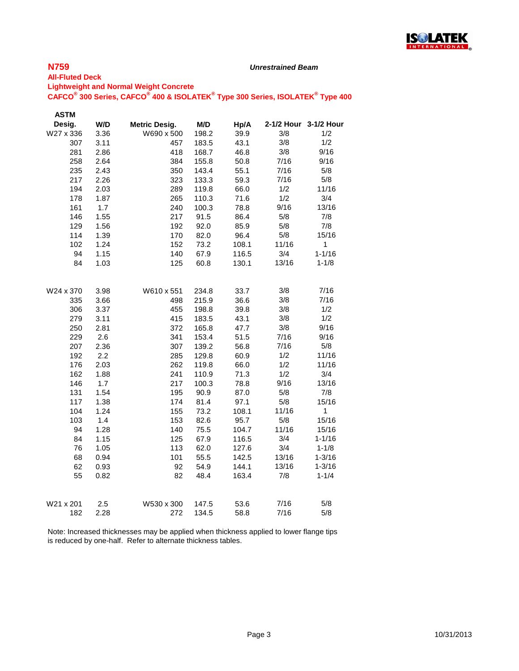

#### *Unrestrained Beam*

### **All-Fluted Deck Lightweight and Normal Weight Concrete**

**CAFCO® 300 Series, CAFCO® 400 & ISOLATEK® Type 300 Series, ISOLATEK® Type 400**

| <b>ASTM</b> |              |                      |              |              |                |                       |
|-------------|--------------|----------------------|--------------|--------------|----------------|-----------------------|
| Desig.      | W/D          | <b>Metric Desig.</b> | M/D          | Hp/A         |                | 2-1/2 Hour 3-1/2 Hour |
| W27 x 336   | 3.36         | W690 x 500           | 198.2        | 39.9         | 3/8            | 1/2                   |
| 307         | 3.11         | 457                  | 183.5        | 43.1         | 3/8            | 1/2                   |
| 281         | 2.86         | 418                  | 168.7        | 46.8         | 3/8            | 9/16                  |
| 258         | 2.64         | 384                  | 155.8        | 50.8         | 7/16           | 9/16                  |
| 235         | 2.43         | 350                  | 143.4        | 55.1         | 7/16           | 5/8                   |
| 217         | 2.26         | 323                  | 133.3        | 59.3         | 7/16           | 5/8                   |
| 194         | 2.03         | 289                  | 119.8        | 66.0         | 1/2            | 11/16                 |
| 178         | 1.87         | 265                  | 110.3        | 71.6         | 1/2            | 3/4                   |
| 161         | 1.7          | 240                  | 100.3        | 78.8         | 9/16           | 13/16                 |
| 146         | 1.55         | 217                  | 91.5         | 86.4         | 5/8            | 7/8                   |
| 129         | 1.56         | 192                  | 92.0         | 85.9         | 5/8            | 7/8                   |
| 114         | 1.39         | 170                  | 82.0         | 96.4         | 5/8            | 15/16                 |
| 102         | 1.24         | 152                  | 73.2         | 108.1        | 11/16          | $\mathbf{1}$          |
| 94          | 1.15         | 140                  | 67.9         | 116.5        | 3/4            | $1 - 1/16$            |
| 84          | 1.03         | 125                  | 60.8         | 130.1        | 13/16          | $1 - 1/8$             |
|             |              |                      |              |              |                |                       |
| W24 x 370   | 3.98         | W610 x 551           | 234.8        | 33.7         | 3/8            | 7/16                  |
| 335         | 3.66         | 498                  | 215.9        | 36.6         | 3/8            | 7/16                  |
| 306         | 3.37         | 455                  | 198.8        | 39.8         | 3/8            | 1/2<br>1/2            |
| 279         | 3.11         | 415                  | 183.5        | 43.1         | 3/8            |                       |
| 250         | 2.81         | 372                  | 165.8        | 47.7         | 3/8            | 9/16                  |
| 229         | 2.6          | 341                  | 153.4        | 51.5         | 7/16           | 9/16                  |
| 207         | 2.36         | 307                  | 139.2        | 56.8         | 7/16           | 5/8                   |
| 192         | 2.2          | 285                  | 129.8        | 60.9         | 1/2<br>1/2     | 11/16<br>11/16        |
| 176         | 2.03         | 262                  | 119.8        | 66.0         | 1/2            |                       |
| 162         | 1.88         | 241                  | 110.9        | 71.3         | 9/16           | 3/4<br>13/16          |
| 146         | 1.7          | 217                  | 100.3        | 78.8         | 5/8            | 7/8                   |
| 131<br>117  | 1.54<br>1.38 | 195<br>174           | 90.9<br>81.4 | 87.0<br>97.1 | 5/8            | 15/16                 |
| 104         | 1.24         | 155                  | 73.2         | 108.1        | 11/16          | $\mathbf{1}$          |
| 103         | 1.4          | 153                  | 82.6         | 95.7         | 5/8            | 15/16                 |
| 94          | 1.28         |                      |              |              | 11/16          | 15/16                 |
| 84          |              | 140<br>125           | 75.5         | 104.7        | 3/4            | $1 - 1/16$            |
|             | 1.15         |                      | 67.9         | 116.5        | 3/4            | $1 - 1/8$             |
| 76          | 1.05         | 113                  | 62.0         | 127.6        |                |                       |
| 68          | 0.94         | 101                  | 55.5         | 142.5        | 13/16<br>13/16 | $1 - 3/16$            |
| 62          | 0.93         | 92                   | 54.9         | 144.1        |                | $1 - 3/16$            |
| 55          | 0.82         | 82                   | 48.4         | 163.4        | 7/8            | $1 - 1/4$             |
| W21 x 201   | 2.5          | W530 x 300           | 147.5        | 53.6         | 7/16           | 5/8                   |
| 182         | 2.28         | 272                  | 134.5        | 58.8         | 7/16           | 5/8                   |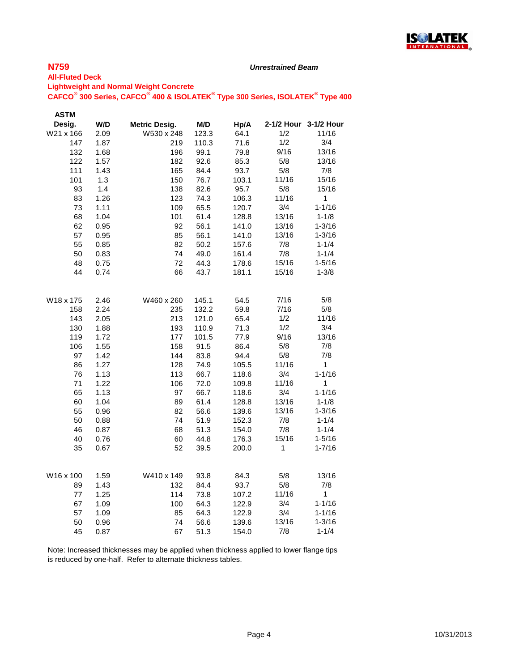

#### *Unrestrained Beam*

### **All-Fluted Deck Lightweight and Normal Weight Concrete**

**CAFCO® 300 Series, CAFCO® 400 & ISOLATEK® Type 300 Series, ISOLATEK® Type 400**

| <b>ASTM</b> |      |                      |       |       |              |                       |
|-------------|------|----------------------|-------|-------|--------------|-----------------------|
| Desig.      | W/D  | <b>Metric Desig.</b> | M/D   | Hp/A  |              | 2-1/2 Hour 3-1/2 Hour |
| W21 x 166   | 2.09 | W530 x 248           | 123.3 | 64.1  | 1/2          | 11/16                 |
| 147         | 1.87 | 219                  | 110.3 | 71.6  | 1/2          | 3/4                   |
| 132         | 1.68 | 196                  | 99.1  | 79.8  | 9/16         | 13/16                 |
| 122         | 1.57 | 182                  | 92.6  | 85.3  | 5/8          | 13/16                 |
| 111         | 1.43 | 165                  | 84.4  | 93.7  | 5/8          | 7/8                   |
| 101         | 1.3  | 150                  | 76.7  | 103.1 | 11/16        | 15/16                 |
| 93          | 1.4  | 138                  | 82.6  | 95.7  | 5/8          | 15/16                 |
| 83          | 1.26 | 123                  | 74.3  | 106.3 | 11/16        | $\mathbf{1}$          |
| 73          | 1.11 | 109                  | 65.5  | 120.7 | 3/4          | $1 - 1/16$            |
| 68          | 1.04 | 101                  | 61.4  | 128.8 | 13/16        | $1 - 1/8$             |
| 62          | 0.95 | 92                   | 56.1  | 141.0 | 13/16        | $1 - 3/16$            |
| 57          | 0.95 | 85                   | 56.1  | 141.0 | 13/16        | $1 - 3/16$            |
| 55          | 0.85 | 82                   | 50.2  | 157.6 | 7/8          | $1 - 1/4$             |
| 50          | 0.83 | 74                   | 49.0  | 161.4 | 7/8          | $1 - 1/4$             |
| 48          | 0.75 | 72                   | 44.3  | 178.6 | 15/16        | $1 - 5/16$            |
| 44          | 0.74 | 66                   | 43.7  | 181.1 | 15/16        | $1 - 3/8$             |
|             |      |                      |       |       |              |                       |
| W18 x 175   | 2.46 | W460 x 260           | 145.1 | 54.5  | 7/16         | 5/8                   |
| 158         | 2.24 | 235                  | 132.2 | 59.8  | 7/16         | 5/8                   |
| 143         | 2.05 | 213                  | 121.0 | 65.4  | 1/2          | 11/16                 |
| 130         | 1.88 | 193                  | 110.9 | 71.3  | 1/2          | 3/4                   |
| 119         | 1.72 | 177                  | 101.5 | 77.9  | 9/16         | 13/16                 |
| 106         | 1.55 | 158                  | 91.5  | 86.4  | 5/8          | 7/8                   |
| 97          | 1.42 | 144                  | 83.8  | 94.4  | 5/8          | 7/8                   |
| 86          | 1.27 | 128                  | 74.9  | 105.5 | 11/16        | 1                     |
| 76          | 1.13 | 113                  | 66.7  | 118.6 | 3/4          | $1 - 1/16$            |
| 71          | 1.22 | 106                  | 72.0  | 109.8 | 11/16        | 1                     |
| 65          | 1.13 | 97                   | 66.7  | 118.6 | 3/4          | $1 - 1/16$            |
| 60          | 1.04 | 89                   | 61.4  | 128.8 | 13/16        | $1 - 1/8$             |
| 55          | 0.96 | 82                   | 56.6  | 139.6 | 13/16        | $1 - 3/16$            |
| 50          | 0.88 | 74                   | 51.9  | 152.3 | 7/8          | $1 - 1/4$             |
| 46          | 0.87 | 68                   | 51.3  | 154.0 | 7/8          | $1 - 1/4$             |
| 40          | 0.76 | 60                   | 44.8  | 176.3 | 15/16        | $1 - 5/16$            |
| 35          | 0.67 | 52                   | 39.5  | 200.0 | $\mathbf{1}$ | $1 - 7/16$            |
|             |      |                      |       |       |              |                       |
| W16 x 100   | 1.59 | W410 x 149           | 93.8  | 84.3  | 5/8          | 13/16                 |
| 89          | 1.43 | 132                  | 84.4  | 93.7  | 5/8          | 7/8                   |
| 77          | 1.25 | 114                  | 73.8  | 107.2 | 11/16        | $\mathbf{1}$          |
| 67          | 1.09 | 100                  | 64.3  | 122.9 | 3/4          | $1 - 1/16$            |
| 57          | 1.09 | 85                   | 64.3  | 122.9 | 3/4          | $1 - 1/16$            |
| 50          | 0.96 | 74                   | 56.6  | 139.6 | 13/16        | $1 - 3/16$            |
| 45          | 0.87 | 67                   | 51.3  | 154.0 | 7/8          | $1 - 1/4$             |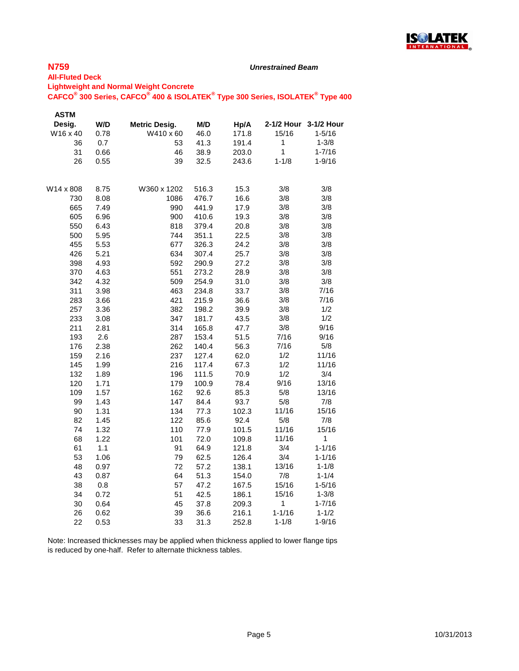

#### *Unrestrained Beam*

### **All-Fluted Deck Lightweight and Normal Weight Concrete**

### **CAFCO® 300 Series, CAFCO® 400 & ISOLATEK® Type 300 Series, ISOLATEK® Type 400**

| <b>ASTM</b> |      |               |       |       |            |                       |
|-------------|------|---------------|-------|-------|------------|-----------------------|
| Desig.      | W/D  | Metric Desig. | M/D   | Hp/A  |            | 2-1/2 Hour 3-1/2 Hour |
| W16 x 40    | 0.78 | W410 x 60     | 46.0  | 171.8 | 15/16      | $1 - 5/16$            |
| 36          | 0.7  | 53            | 41.3  | 191.4 | 1          | $1 - 3/8$             |
| 31          | 0.66 | 46            | 38.9  | 203.0 | 1          | $1 - 7/16$            |
| 26          | 0.55 | 39            | 32.5  | 243.6 | $1 - 1/8$  | $1 - 9/16$            |
| W14 x 808   | 8.75 | W360 x 1202   | 516.3 | 15.3  | 3/8        | 3/8                   |
| 730         | 8.08 | 1086          | 476.7 | 16.6  | 3/8        | 3/8                   |
| 665         | 7.49 | 990           | 441.9 | 17.9  | 3/8        | 3/8                   |
| 605         | 6.96 | 900           | 410.6 | 19.3  | 3/8        | 3/8                   |
| 550         | 6.43 | 818           | 379.4 | 20.8  | 3/8        | 3/8                   |
| 500         | 5.95 | 744           | 351.1 | 22.5  | 3/8        | 3/8                   |
| 455         | 5.53 | 677           | 326.3 | 24.2  | 3/8        | 3/8                   |
| 426         | 5.21 | 634           | 307.4 | 25.7  | 3/8        | 3/8                   |
| 398         | 4.93 | 592           | 290.9 | 27.2  | 3/8        | 3/8                   |
| 370         | 4.63 | 551           | 273.2 | 28.9  | 3/8        | 3/8                   |
| 342         | 4.32 | 509           | 254.9 | 31.0  | 3/8        | 3/8                   |
| 311         | 3.98 | 463           | 234.8 | 33.7  | 3/8        | 7/16                  |
| 283         | 3.66 | 421           | 215.9 | 36.6  | 3/8        | 7/16                  |
| 257         | 3.36 | 382           | 198.2 | 39.9  | 3/8        | 1/2                   |
| 233         | 3.08 | 347           | 181.7 | 43.5  | 3/8        | 1/2                   |
| 211         | 2.81 | 314           | 165.8 | 47.7  | 3/8        | 9/16                  |
| 193         | 2.6  | 287           | 153.4 | 51.5  | 7/16       | 9/16                  |
| 176         | 2.38 | 262           | 140.4 | 56.3  | 7/16       | 5/8                   |
| 159         | 2.16 | 237           | 127.4 | 62.0  | 1/2        | 11/16                 |
| 145         | 1.99 | 216           | 117.4 | 67.3  | 1/2        | 11/16                 |
| 132         | 1.89 | 196           | 111.5 | 70.9  | 1/2        | 3/4                   |
| 120         | 1.71 | 179           | 100.9 | 78.4  | 9/16       | 13/16                 |
| 109         | 1.57 | 162           | 92.6  | 85.3  | 5/8        | 13/16                 |
| 99          | 1.43 | 147           | 84.4  | 93.7  | 5/8        | 7/8                   |
| 90          | 1.31 | 134           | 77.3  | 102.3 | 11/16      | 15/16                 |
| 82          | 1.45 | 122           | 85.6  | 92.4  | 5/8        | 7/8                   |
| 74          | 1.32 | 110           | 77.9  | 101.5 | 11/16      | 15/16                 |
| 68          | 1.22 | 101           | 72.0  | 109.8 | 11/16      | 1                     |
| 61          | 1.1  | 91            | 64.9  | 121.8 | 3/4        | $1 - 1/16$            |
| 53          | 1.06 | 79            | 62.5  | 126.4 | 3/4        | $1 - 1/16$            |
| 48          | 0.97 | 72            | 57.2  | 138.1 | 13/16      | $1 - 1/8$             |
| 43          | 0.87 | 64            | 51.3  | 154.0 | 7/8        | $1 - 1/4$             |
| 38          | 0.8  | 57            | 47.2  | 167.5 | 15/16      | $1 - 5/16$            |
| 34          | 0.72 | 51            | 42.5  | 186.1 | 15/16      | $1 - 3/8$             |
| 30          | 0.64 | 45            | 37.8  | 209.3 | 1          | $1 - 7/16$            |
| 26          | 0.62 | 39            | 36.6  | 216.1 | $1 - 1/16$ | $1 - 1/2$             |
| 22          | 0.53 | 33            | 31.3  | 252.8 | $1 - 1/8$  | $1 - 9/16$            |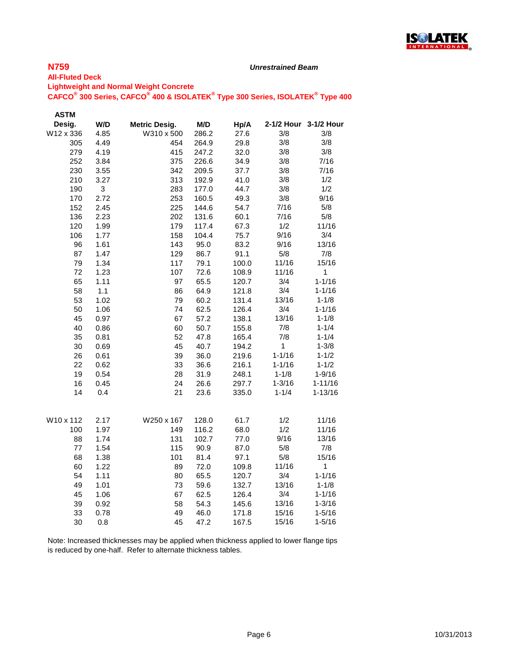

#### *Unrestrained Beam*

#### **All-Fluted Deck Lightweight and Normal Weight Concrete CAFCO® 300 Series, CAFCO® 400 & ISOLATEK® Type 300 Series, ISOLATEK® Type 400**

| Desig.<br>W/D<br><b>Metric Desig.</b><br>M/D<br>2-1/2 Hour 3-1/2 Hour<br>Hp/A |             |
|-------------------------------------------------------------------------------|-------------|
|                                                                               |             |
| W12 x 336<br>4.85<br>W310 x 500<br>3/8<br>286.2<br>27.6                       | 3/8         |
| 305<br>4.49<br>454<br>264.9<br>29.8<br>3/8                                    | 3/8         |
| 3/8<br>279<br>4.19<br>415<br>32.0<br>247.2                                    | 3/8         |
| 3/8<br>252<br>3.84<br>375<br>34.9<br>226.6                                    | 7/16        |
| 230<br>3/8<br>3.55<br>342<br>209.5<br>37.7                                    | 7/16        |
| 210<br>313<br>3/8<br>3.27<br>192.9<br>41.0                                    | 1/2         |
| 3/8<br>190<br>3<br>283<br>177.0<br>44.7                                       | 1/2         |
| 170<br>253<br>3/8<br>2.72<br>160.5<br>49.3                                    | 9/16        |
| 152<br>2.45<br>225<br>144.6<br>7/16<br>54.7                                   | 5/8         |
| 136<br>2.23<br>202<br>60.1<br>7/16<br>131.6                                   | 5/8         |
| 1/2<br>120<br>179<br>1.99<br>117.4<br>67.3                                    | 11/16       |
| 9/16<br>106<br>1.77<br>158<br>104.4<br>75.7                                   | 3/4         |
| 9/16<br>96<br>1.61<br>143<br>83.2<br>95.0                                     | 13/16       |
| 87<br>129<br>91.1<br>5/8<br>1.47<br>86.7                                      | 7/8         |
| 79<br>1.34<br>117<br>79.1<br>11/16<br>100.0                                   | 15/16       |
| 72<br>1.23<br>107<br>72.6<br>11/16<br>108.9                                   | 1           |
| 65<br>1.11<br>97<br>3/4<br>65.5<br>120.7                                      | $1 - 1/16$  |
| 3/4<br>58<br>1.1<br>86<br>64.9<br>121.8                                       | $1 - 1/16$  |
| 13/16<br>53<br>1.02<br>79<br>60.2<br>131.4                                    | $1 - 1/8$   |
| 3/4<br>50<br>1.06<br>74<br>62.5<br>126.4                                      | $1 - 1/16$  |
| 13/16<br>45<br>67<br>0.97<br>57.2<br>138.1                                    | $1 - 1/8$   |
| 40<br>60<br>50.7<br>7/8<br>0.86<br>155.8                                      | $1 - 1/4$   |
| 52<br>7/8<br>35<br>0.81<br>47.8<br>165.4                                      | $1 - 1/4$   |
| 45<br>$\mathbf{1}$<br>30<br>0.69<br>40.7<br>194.2                             | $1 - 3/8$   |
| $1 - 1/16$<br>26<br>0.61<br>39<br>36.0<br>219.6                               | $1 - 1/2$   |
| 22<br>33<br>$1 - 1/16$<br>0.62<br>36.6<br>216.1                               | $1 - 1/2$   |
| 28<br>$1 - 1/8$<br>19<br>0.54<br>31.9<br>248.1                                | $1 - 9/16$  |
| 16<br>24<br>$1 - 3/16$<br>0.45<br>26.6<br>297.7                               | $1 - 11/16$ |
| 14<br>21<br>$1 - 1/4$<br>0.4<br>23.6<br>335.0                                 | $1 - 13/16$ |
| 2.17<br>1/2<br>W10 x 112<br>W250 x 167<br>128.0<br>61.7                       | 11/16       |
| 1/2<br>100<br>1.97<br>149<br>116.2<br>68.0                                    | 11/16       |
| 9/16<br>131<br>88<br>1.74<br>102.7<br>77.0                                    | 13/16       |
| 5/8<br>77<br>1.54<br>115<br>90.9<br>87.0                                      | 7/8         |
| 68<br>101<br>5/8<br>1.38<br>81.4<br>97.1                                      | 15/16       |
| 11/16<br>60<br>1.22<br>89<br>72.0<br>109.8                                    | 1           |
| 54<br>80<br>3/4<br>1.11<br>65.5<br>120.7                                      | $1 - 1/16$  |
| 49<br>1.01<br>73<br>59.6<br>132.7<br>13/16                                    | $1 - 1/8$   |
| 67<br>3/4<br>45<br>1.06<br>126.4<br>62.5                                      | $1 - 1/16$  |
| 39<br>0.92<br>58<br>13/16<br>54.3<br>145.6                                    | $1 - 3/16$  |
| 33<br>49<br>15/16<br>0.78<br>46.0<br>171.8                                    | $1 - 5/16$  |
| 30<br>45<br>15/16<br>0.8<br>47.2<br>167.5                                     | $1 - 5/16$  |